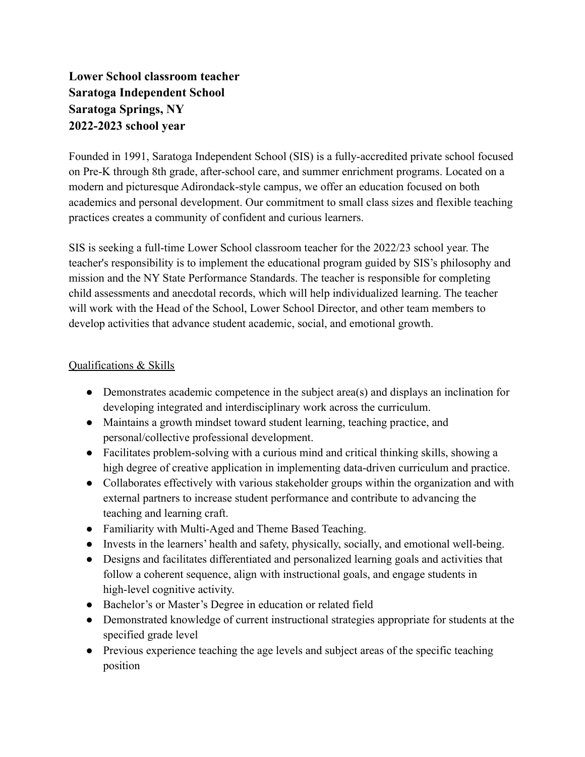## **Lower School classroom teacher Saratoga Independent School Saratoga Springs, NY 2022-2023 school year**

Founded in 1991, Saratoga Independent School (SIS) is a fully-accredited private school focused on Pre-K through 8th grade, after-school care, and summer enrichment programs. Located on a modern and picturesque Adirondack-style campus, we offer an education focused on both academics and personal development. Our commitment to small class sizes and flexible teaching practices creates a community of confident and curious learners.

SIS is seeking a full-time Lower School classroom teacher for the 2022/23 school year. The teacher's responsibility is to implement the educational program guided by SIS's philosophy and mission and the NY State Performance Standards. The teacher is responsible for completing child assessments and anecdotal records, which will help individualized learning. The teacher will work with the Head of the School, Lower School Director, and other team members to develop activities that advance student academic, social, and emotional growth.

## Qualifications & Skills

- Demonstrates academic competence in the subject area(s) and displays an inclination for developing integrated and interdisciplinary work across the curriculum.
- Maintains a growth mindset toward student learning, teaching practice, and personal/collective professional development.
- Facilitates problem-solving with a curious mind and critical thinking skills, showing a high degree of creative application in implementing data-driven curriculum and practice.
- Collaborates effectively with various stakeholder groups within the organization and with external partners to increase student performance and contribute to advancing the teaching and learning craft.
- Familiarity with Multi-Aged and Theme Based Teaching.
- Invests in the learners' health and safety, physically, socially, and emotional well-being.
- Designs and facilitates differentiated and personalized learning goals and activities that follow a coherent sequence, align with instructional goals, and engage students in high-level cognitive activity.
- Bachelor's or Master's Degree in education or related field
- Demonstrated knowledge of current instructional strategies appropriate for students at the specified grade level
- Previous experience teaching the age levels and subject areas of the specific teaching position